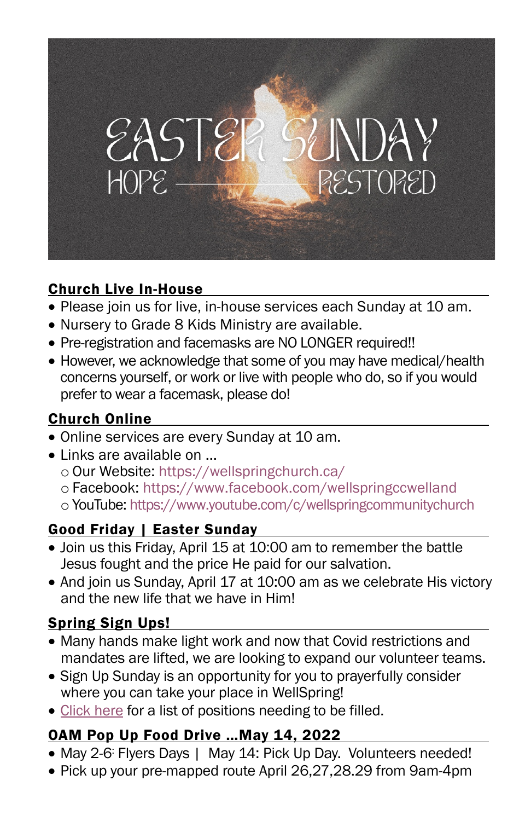

#### Church Live In-House

- Please join us for live, in-house services each Sunday at 10 am.
- Nursery to Grade 8 Kids Ministry are available.
- Pre-registration and facemasks are NO LONGER required!!
- However, we acknowledge that some of you may have medical/health concerns yourself, or work or live with people who do, so if you would prefer to wear a facemask, please do!

#### Church Online

- Online services are every Sunday at 10 am.
- Links are available on ...
	- o Our Website: https://wellspringchurch.ca/
	- o Facebook: https://www.facebook.com/wellspringccwelland
	- o YouTube: https://www.youtube.com/c/wellspringcommunitychurch

### Good Friday | Easter Sunday

- Join us this Friday, April 15 at 10:00 am to remember the battle Jesus fought and the price He paid for our salvation.
- And join us Sunday, April 17 at 10:00 am as we celebrate His victory and the new life that we have in Him!

### Spring Sign Ups!

- Many hands make light work and now that Covid restrictions and mandates are lifted, we are looking to expand our volunteer teams.
- Sign Up Sunday is an opportunity for you to prayerfully consider where you can take your place in WellSpring!
- [Click here](https://wellspringc.churchcenter.com/people/forms/373437) for a list of positions needing to be filled.

### OAM Pop Up Food Drive …May 14, 2022

- May 2-6: Flyers Days | May 14: Pick Up Day. Volunteers needed!
- Pick up your pre-mapped route April 26,27,28.29 from 9am-4pm